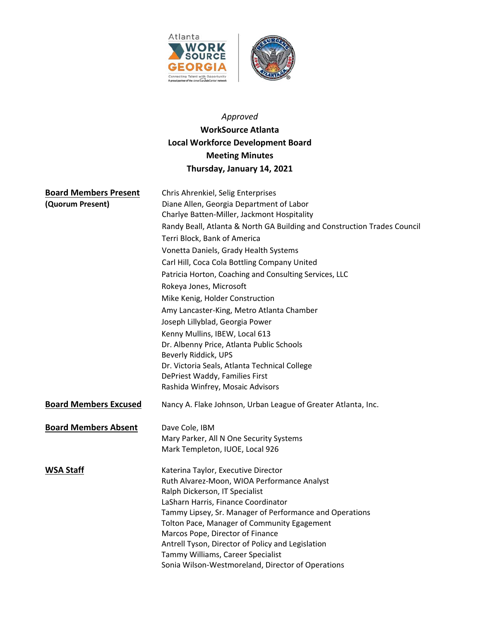

# *Approved*

# **WorkSource Atlanta Local Workforce Development Board Meeting Minutes Thursday, January 14, 2021**

| <b>Board Members Present</b> | Chris Ahrenkiel, Selig Enterprises                                       |
|------------------------------|--------------------------------------------------------------------------|
| (Quorum Present)             | Diane Allen, Georgia Department of Labor                                 |
|                              | Charlye Batten-Miller, Jackmont Hospitality                              |
|                              | Randy Beall, Atlanta & North GA Building and Construction Trades Council |
|                              | Terri Block, Bank of America                                             |
|                              | Vonetta Daniels, Grady Health Systems                                    |
|                              | Carl Hill, Coca Cola Bottling Company United                             |
|                              | Patricia Horton, Coaching and Consulting Services, LLC                   |
|                              | Rokeya Jones, Microsoft                                                  |
|                              | Mike Kenig, Holder Construction                                          |
|                              | Amy Lancaster-King, Metro Atlanta Chamber                                |
|                              | Joseph Lillyblad, Georgia Power                                          |
|                              | Kenny Mullins, IBEW, Local 613                                           |
|                              | Dr. Albenny Price, Atlanta Public Schools                                |
|                              | Beverly Riddick, UPS                                                     |
|                              | Dr. Victoria Seals, Atlanta Technical College                            |
|                              | DePriest Waddy, Families First                                           |
|                              | Rashida Winfrey, Mosaic Advisors                                         |
| <b>Board Members Excused</b> | Nancy A. Flake Johnson, Urban League of Greater Atlanta, Inc.            |
| <b>Board Members Absent</b>  | Dave Cole, IBM                                                           |
|                              | Mary Parker, All N One Security Systems                                  |
|                              | Mark Templeton, IUOE, Local 926                                          |
| <b>WSA Staff</b>             | Katerina Taylor, Executive Director                                      |
|                              | Ruth Alvarez-Moon, WIOA Performance Analyst                              |
|                              | Ralph Dickerson, IT Specialist                                           |
|                              | LaSharn Harris, Finance Coordinator                                      |
|                              | Tammy Lipsey, Sr. Manager of Performance and Operations                  |
|                              | Tolton Pace, Manager of Community Egagement                              |
|                              | Marcos Pope, Director of Finance                                         |
|                              | Antrell Tyson, Director of Policy and Legislation                        |
|                              | Tammy Williams, Career Specialist                                        |
|                              | Sonia Wilson-Westmoreland, Director of Operations                        |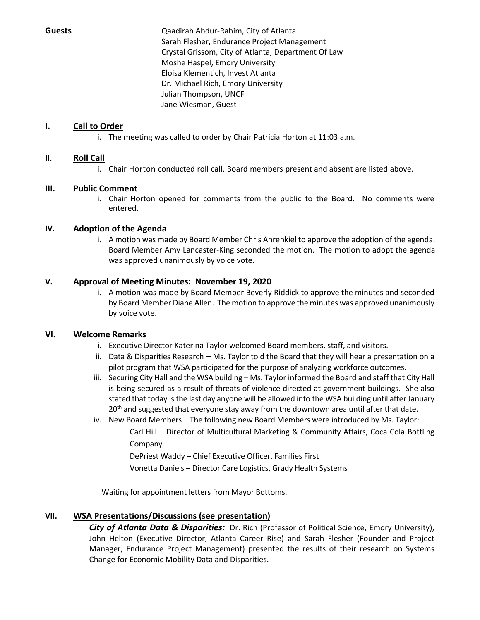**Guests**  Qaadirah Abdur‐Rahim, City of Atlanta Sarah Flesher, Endurance Project Management Crystal Grissom, City of Atlanta, Department Of Law Moshe Haspel, Emory University Eloisa Klementich, Invest Atlanta Dr. Michael Rich, Emory University Julian Thompson, UNCF Jane Wiesman, Guest

# **I. Call to Order**

i. The meeting was called to order by Chair Patricia Horton at 11:03 a.m.

# **II. Roll Call**

i. Chair Horton conducted roll call. Board members present and absent are listed above.

# **III. Public Comment**

i. Chair Horton opened for comments from the public to the Board. No comments were entered.

### **IV. Adoption of the Agenda**

i. A motion was made by Board Member Chris Ahrenkiel to approve the adoption of the agenda. Board Member Amy Lancaster‐King seconded the motion. The motion to adopt the agenda was approved unanimously by voice vote.

### **V. Approval of Meeting Minutes: November 19, 2020**

i. A motion was made by Board Member Beverly Riddick to approve the minutes and seconded by Board Member Diane Allen. The motion to approve the minutes was approved unanimously by voice vote.

# **VI. Welcome Remarks**

- i. Executive Director Katerina Taylor welcomed Board members, staff, and visitors.
- ii. Data & Disparities Research Ms. Taylor told the Board that they will hear a presentation on a pilot program that WSA participated for the purpose of analyzing workforce outcomes.
- iii. Securing City Hall and the WSA building Ms. Taylor informed the Board and staff that City Hall is being secured as a result of threats of violence directed at government buildings. She also stated that today is the last day anyone will be allowed into the WSA building until after January  $20<sup>th</sup>$  and suggested that everyone stay away from the downtown area until after that date.
- iv. New Board Members The following new Board Members were introduced by Ms. Taylor: Carl Hill – Director of Multicultural Marketing & Community Affairs, Coca Cola Bottling Company

DePriest Waddy – Chief Executive Officer, Families First

Vonetta Daniels – Director Care Logistics, Grady Health Systems

Waiting for appointment letters from Mayor Bottoms.

# **VII. WSA Presentations/Discussions (see presentation)**

*City of Atlanta Data & Disparities:* Dr. Rich (Professor of Political Science, Emory University), John Helton (Executive Director, Atlanta Career Rise) and Sarah Flesher (Founder and Project Manager, Endurance Project Management) presented the results of their research on Systems Change for Economic Mobility Data and Disparities.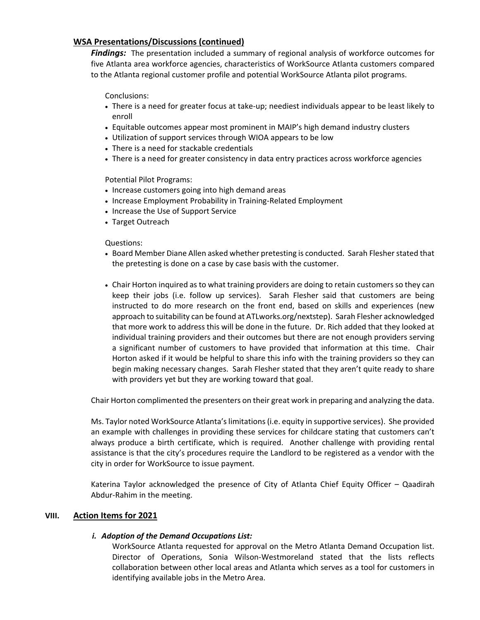### **WSA Presentations/Discussions (continued)**

*Findings:* The presentation included a summary of regional analysis of workforce outcomes for five Atlanta area workforce agencies, characteristics of WorkSource Atlanta customers compared to the Atlanta regional customer profile and potential WorkSource Atlanta pilot programs.

Conclusions:

- There is a need for greater focus at take‐up; neediest individuals appear to be least likely to enroll
- Equitable outcomes appear most prominent in MAIP's high demand industry clusters
- Utilization of support services through WIOA appears to be low
- There is a need for stackable credentials
- There is a need for greater consistency in data entry practices across workforce agencies

Potential Pilot Programs:

- Increase customers going into high demand areas
- Increase Employment Probability in Training-Related Employment
- Increase the Use of Support Service
- Target Outreach

Questions:

- Board Member Diane Allen asked whether pretesting is conducted. Sarah Flesher stated that the pretesting is done on a case by case basis with the customer.
- Chair Horton inquired as to what training providers are doing to retain customers so they can keep their jobs (i.e. follow up services). Sarah Flesher said that customers are being instructed to do more research on the front end, based on skills and experiences (new approach to suitability can be found at ATLworks.org/nextstep). Sarah Flesher acknowledged that more work to address this will be done in the future. Dr. Rich added that they looked at individual training providers and their outcomes but there are not enough providers serving a significant number of customers to have provided that information at this time. Chair Horton asked if it would be helpful to share this info with the training providers so they can begin making necessary changes. Sarah Flesher stated that they aren't quite ready to share with providers yet but they are working toward that goal.

Chair Horton complimented the presenters on their great work in preparing and analyzing the data.

Ms. Taylor noted WorkSource Atlanta's limitations (i.e. equity in supportive services). She provided an example with challenges in providing these services for childcare stating that customers can't always produce a birth certificate, which is required. Another challenge with providing rental assistance is that the city's procedures require the Landlord to be registered as a vendor with the city in order for WorkSource to issue payment.

Katerina Taylor acknowledged the presence of City of Atlanta Chief Equity Officer – Qaadirah Abdur‐Rahim in the meeting.

#### **VIII. Action Items for 2021**

#### *i. Adoption of the Demand Occupations List:*

WorkSource Atlanta requested for approval on the Metro Atlanta Demand Occupation list. Director of Operations, Sonia Wilson-Westmoreland stated that the lists reflects collaboration between other local areas and Atlanta which serves as a tool for customers in identifying available jobs in the Metro Area.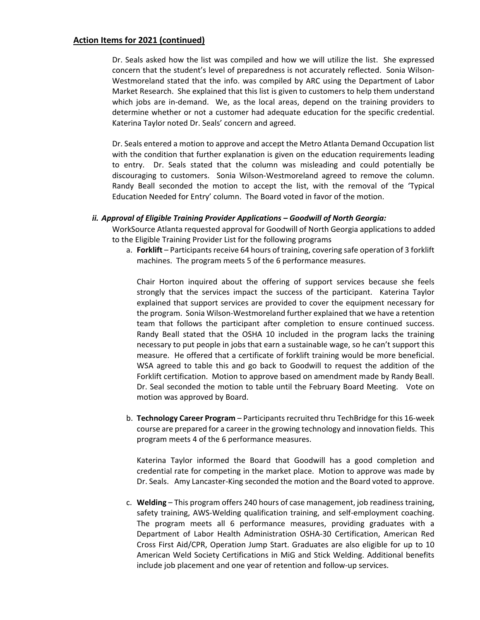#### **Action Items for 2021 (continued)**

Dr. Seals asked how the list was compiled and how we will utilize the list. She expressed concern that the student's level of preparedness is not accurately reflected. Sonia Wilson‐ Westmoreland stated that the info. was compiled by ARC using the Department of Labor Market Research. She explained that this list is given to customers to help them understand which jobs are in-demand. We, as the local areas, depend on the training providers to determine whether or not a customer had adequate education for the specific credential. Katerina Taylor noted Dr. Seals' concern and agreed.

Dr. Seals entered a motion to approve and accept the Metro Atlanta Demand Occupation list with the condition that further explanation is given on the education requirements leading to entry. Dr. Seals stated that the column was misleading and could potentially be discouraging to customers. Sonia Wilson‐Westmoreland agreed to remove the column. Randy Beall seconded the motion to accept the list, with the removal of the 'Typical Education Needed for Entry' column. The Board voted in favor of the motion.

#### *ii. Approval of Eligible Training Provider Applications – Goodwill of North Georgia:*

WorkSource Atlanta requested approval for Goodwill of North Georgia applications to added to the Eligible Training Provider List for the following programs

a. **Forklift** – Participants receive 64 hours of training, covering safe operation of 3 forklift machines. The program meets 5 of the 6 performance measures.

Chair Horton inquired about the offering of support services because she feels strongly that the services impact the success of the participant. Katerina Taylor explained that support services are provided to cover the equipment necessary for the program. Sonia Wilson‐Westmoreland further explained that we have a retention team that follows the participant after completion to ensure continued success. Randy Beall stated that the OSHA 10 included in the program lacks the training necessary to put people in jobs that earn a sustainable wage, so he can't support this measure. He offered that a certificate of forklift training would be more beneficial. WSA agreed to table this and go back to Goodwill to request the addition of the Forklift certification. Motion to approve based on amendment made by Randy Beall. Dr. Seal seconded the motion to table until the February Board Meeting. Vote on motion was approved by Board.

b. **Technology Career Program** – Participants recruited thru TechBridge for this 16‐week course are prepared for a career in the growing technology and innovation fields. This program meets 4 of the 6 performance measures.

Katerina Taylor informed the Board that Goodwill has a good completion and credential rate for competing in the market place. Motion to approve was made by Dr. Seals. Amy Lancaster‐King seconded the motion and the Board voted to approve.

c. **Welding** – This program offers 240 hours of case management, job readiness training, safety training, AWS-Welding qualification training, and self-employment coaching. The program meets all 6 performance measures, providing graduates with a Department of Labor Health Administration OSHA‐30 Certification, American Red Cross First Aid/CPR, Operation Jump Start. Graduates are also eligible for up to 10 American Weld Society Certifications in MiG and Stick Welding. Additional benefits include job placement and one year of retention and follow‐up services.